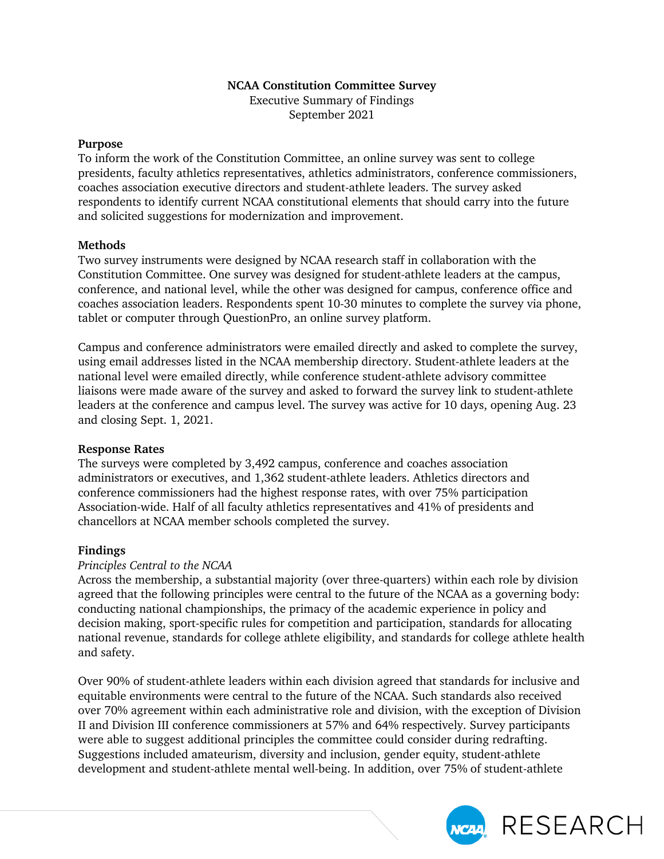# **NCAA Constitution Committee Survey**

Executive Summary of Findings September 2021

#### **Purpose**

To inform the work of the Constitution Committee, an online survey was sent to college presidents, faculty athletics representatives, athletics administrators, conference commissioners, coaches association executive directors and student-athlete leaders. The survey asked respondents to identify current NCAA constitutional elements that should carry into the future and solicited suggestions for modernization and improvement.

# **Methods**

Two survey instruments were designed by NCAA research staff in collaboration with the Constitution Committee. One survey was designed for student-athlete leaders at the campus, conference, and national level, while the other was designed for campus, conference office and coaches association leaders. Respondents spent 10-30 minutes to complete the survey via phone, tablet or computer through QuestionPro, an online survey platform.

Campus and conference administrators were emailed directly and asked to complete the survey, using email addresses listed in the NCAA membership directory. Student-athlete leaders at the national level were emailed directly, while conference student-athlete advisory committee liaisons were made aware of the survey and asked to forward the survey link to student-athlete leaders at the conference and campus level. The survey was active for 10 days, opening Aug. 23 and closing Sept. 1, 2021.

# **Response Rates**

The surveys were completed by 3,492 campus, conference and coaches association administrators or executives, and 1,362 student-athlete leaders. Athletics directors and conference commissioners had the highest response rates, with over 75% participation Association-wide. Half of all faculty athletics representatives and 41% of presidents and chancellors at NCAA member schools completed the survey.

# **Findings**

# *Principles Central to the NCAA*

Across the membership, a substantial majority (over three-quarters) within each role by division agreed that the following principles were central to the future of the NCAA as a governing body: conducting national championships, the primacy of the academic experience in policy and decision making, sport-specific rules for competition and participation, standards for allocating national revenue, standards for college athlete eligibility, and standards for college athlete health and safety.

Over 90% of student-athlete leaders within each division agreed that standards for inclusive and equitable environments were central to the future of the NCAA. Such standards also received over 70% agreement within each administrative role and division, with the exception of Division II and Division III conference commissioners at 57% and 64% respectively. Survey participants were able to suggest additional principles the committee could consider during redrafting. Suggestions included amateurism, diversity and inclusion, gender equity, student-athlete development and student-athlete mental well-being. In addition, over 75% of student-athlete

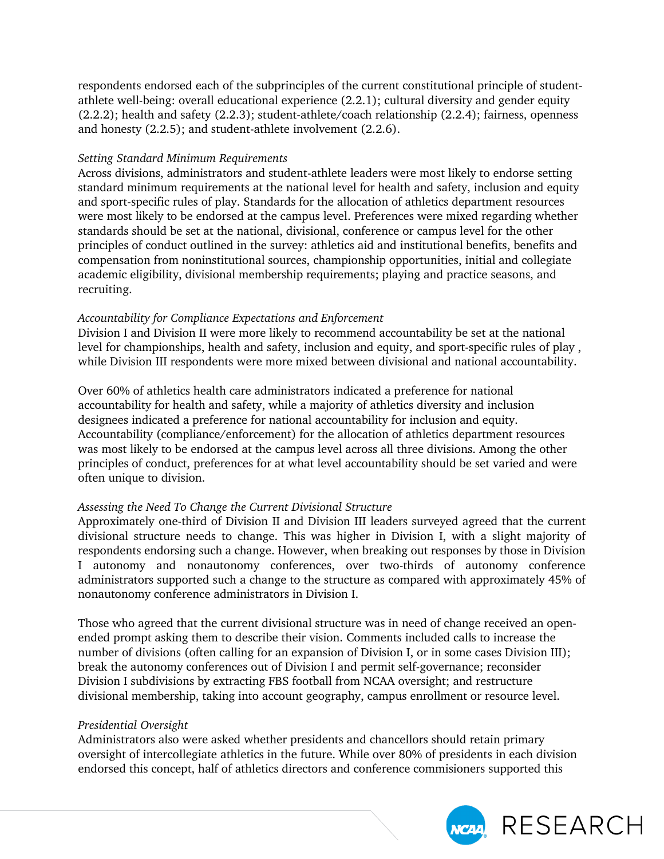respondents endorsed each of the subprinciples of the current constitutional principle of studentathlete well-being: overall educational experience (2.2.1); cultural diversity and gender equity (2.2.2); health and safety (2.2.3); student-athlete/coach relationship (2.2.4); fairness, openness and honesty (2.2.5); and student-athlete involvement (2.2.6).

# *Setting Standard Minimum Requirements*

Across divisions, administrators and student-athlete leaders were most likely to endorse setting standard minimum requirements at the national level for health and safety, inclusion and equity and sport-specific rules of play. Standards for the allocation of athletics department resources were most likely to be endorsed at the campus level. Preferences were mixed regarding whether standards should be set at the national, divisional, conference or campus level for the other principles of conduct outlined in the survey: athletics aid and institutional benefits, benefits and compensation from noninstitutional sources, championship opportunities, initial and collegiate academic eligibility, divisional membership requirements; playing and practice seasons, and recruiting.

# *Accountability for Compliance Expectations and Enforcement*

Division I and Division II were more likely to recommend accountability be set at the national level for championships, health and safety, inclusion and equity, and sport-specific rules of play , while Division III respondents were more mixed between divisional and national accountability.

Over 60% of athletics health care administrators indicated a preference for national accountability for health and safety, while a majority of athletics diversity and inclusion designees indicated a preference for national accountability for inclusion and equity. Accountability (compliance/enforcement) for the allocation of athletics department resources was most likely to be endorsed at the campus level across all three divisions. Among the other principles of conduct, preferences for at what level accountability should be set varied and were often unique to division.

# *Assessing the Need To Change the Current Divisional Structure*

Approximately one-third of Division II and Division III leaders surveyed agreed that the current divisional structure needs to change. This was higher in Division I, with a slight majority of respondents endorsing such a change. However, when breaking out responses by those in Division I autonomy and nonautonomy conferences, over two-thirds of autonomy conference administrators supported such a change to the structure as compared with approximately 45% of nonautonomy conference administrators in Division I.

Those who agreed that the current divisional structure was in need of change received an openended prompt asking them to describe their vision. Comments included calls to increase the number of divisions (often calling for an expansion of Division I, or in some cases Division III); break the autonomy conferences out of Division I and permit self-governance; reconsider Division I subdivisions by extracting FBS football from NCAA oversight; and restructure divisional membership, taking into account geography, campus enrollment or resource level.

# *Presidential Oversight*

Administrators also were asked whether presidents and chancellors should retain primary oversight of intercollegiate athletics in the future. While over 80% of presidents in each division endorsed this concept, half of athletics directors and conference commisioners supported this